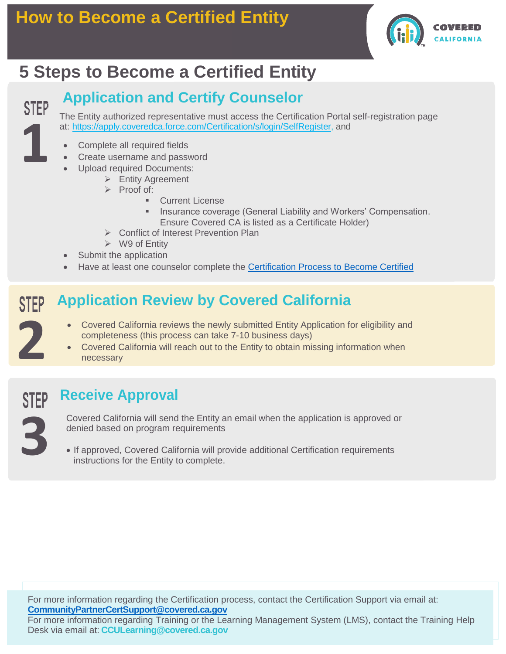

# **5 Steps to Become a Certified Entity**

### **Application and Certify Counselor**

The Entity authorized representative must access the Certification Portal self-registration page at: [https://apply.coveredca.force.com/Certification/s/login/SelfRegister,](https://apply.coveredca.force.com/Certification/s/login/SelfRegister) and

- Complete all required fields  $\mathcal{L}(\mathcal{L})$  as:  $\mathcal{L}(\mathcal{L})$  as:  $\mathcal{L}(\mathcal{L})$  as:  $\mathcal{L}(\mathcal{L})$  approval of the Enroller application:
	- Create username and password
		- Upload required Documents:
			- ➢ Entity Agreement
			- ➢ Proof of:
				- **Current License**
				- Insurance coverage (General Liability and Workers' Compensation. Ensure Covered CA is listed as a Certificate Holder)
			- ➢ Conflict of Interest Prevention Plan
		- ➢ W9 of Entity
- Submit the application
- Have at least one counselor complete the [Certification Process to Become Certified](https://www.coveredca.com/pdfs/community-enrollment-partners/job-aids/08162017-How-to-Become-a-Certified-Counselor-.com-V1FINAL.pdf)

#### **Application Review by Covered California STEP**

- Covered California reviews the newly submitted Entity Application for eligibility and completeness (this process can take 7-10 business days)
- Covered California will reach out to the Entity to obtain missing information when necessary

**1 3**

**2**

**1**

**STEP** 

### **Receive Approval**

Covered California will send the Entity an email when the application is approved or denied based on program requirements

• If approved, Covered California will provide additional Certification requirements instructions for the Entity to complete.

For more information regarding the Certification process, contact the Certification Support via email at: **[CommunityPartnerCertSupport@covered.ca.gov](mailto:CommunityPartnerCertSupport@covered.ca.gov)**

For more information regarding Training or the Learning Management System (LMS), contact the Training Help Desk via email at: **[CCULearning@covered.ca.gov](mailto:CCULearning@covered.ca.gov)**